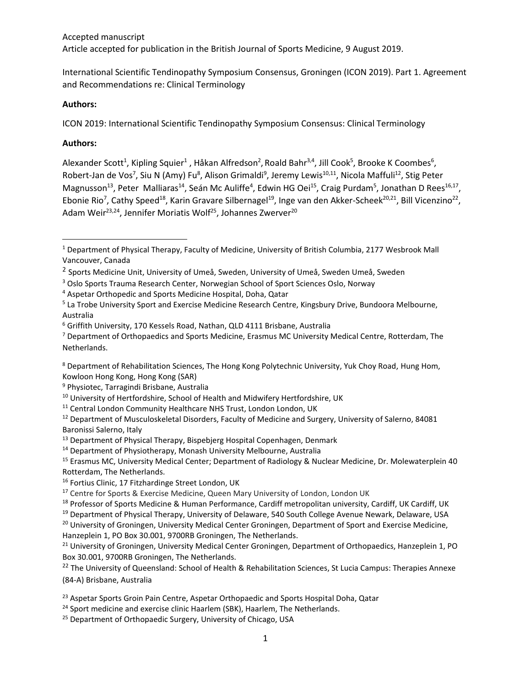## Accepted manuscript Article accepted for publication in the British Journal of Sports Medicine, 9 August 2019.

International Scientific Tendinopathy Symposium Consensus, Groningen (ICON 2019). Part 1. Agreement and Recommendations re: Clinical Terminology

#### **Authors:**

ICON 2019: International Scientific Tendinopathy Symposium Consensus: Clinical Terminology

#### **Authors:**

 $\overline{\phantom{a}}$ 

Alexander Scott<sup>1</sup>, Kipling Squier<sup>1</sup> , Håkan Alfredson<sup>2</sup>, Roald Bahr<sup>3,4</sup>, Jill Cook<sup>5</sup>, Brooke K Coombes<sup>6</sup>, Robert-Jan de Vos<sup>7</sup>, Siu N (Amy) Fu<sup>8</sup>, Alison Grimaldi<sup>9</sup>, Jeremy Lewis<sup>10,11</sup>, Nicola Maffuli<sup>12</sup>, Stig Peter Magnusson<sup>13</sup>, Peter Malliaras<sup>14</sup>, Seán Mc Auliffe<sup>4</sup>, Edwin HG Oei<sup>15</sup>, Craig Purdam<sup>5</sup>, Jonathan D Rees<sup>16,17</sup>, Ebonie Rio<sup>7</sup>, Cathy Speed<sup>18</sup>, Karin Gravare Silbernagel<sup>19</sup>, Inge van den Akker-Scheek<sup>20,21</sup>, Bill Vicenzino<sup>22</sup>, Adam Weir<sup>23,24</sup>, Jennifer Moriatis Wolf<sup>25</sup>, Johannes Zwerver<sup>20</sup>

<sup>1</sup> Department of Physical Therapy, Faculty of Medicine, University of British Columbia, 2177 Wesbrook Mall Vancouver, Canada

<sup>2</sup> Sports Medicine Unit, University of Umeå, Sweden, University of Umeå, Sweden Umeå, Sweden

<sup>3</sup> Oslo Sports Trauma Research Center, Norwegian School of Sport Sciences Oslo, Norway

<sup>4</sup> Aspetar Orthopedic and Sports Medicine Hospital, Doha, Qatar

<sup>&</sup>lt;sup>5</sup> La Trobe University Sport and Exercise Medicine Research Centre, Kingsbury Drive, Bundoora Melbourne, Australia

<sup>6</sup> Griffith University, 170 Kessels Road, Nathan, QLD 4111 Brisbane, Australia

<sup>&</sup>lt;sup>7</sup> Department of Orthopaedics and Sports Medicine, Erasmus MC University Medical Centre, Rotterdam, The Netherlands.

<sup>&</sup>lt;sup>8</sup> Department of Rehabilitation Sciences, The Hong Kong Polytechnic University, Yuk Choy Road, Hung Hom, Kowloon Hong Kong, Hong Kong (SAR)

<sup>&</sup>lt;sup>9</sup> Physiotec, Tarragindi Brisbane, Australia

<sup>&</sup>lt;sup>10</sup> University of Hertfordshire, School of Health and Midwifery Hertfordshire, UK

<sup>&</sup>lt;sup>11</sup> Central London Community Healthcare NHS Trust, London London, UK

<sup>&</sup>lt;sup>12</sup> Department of Musculoskeletal Disorders, Faculty of Medicine and Surgery, University of Salerno, 84081 Baronissi Salerno, Italy

<sup>&</sup>lt;sup>13</sup> Department of Physical Therapy, Bispebjerg Hospital Copenhagen, Denmark

<sup>14</sup> Department of Physiotherapy, Monash University Melbourne, Australia

<sup>&</sup>lt;sup>15</sup> Erasmus MC, University Medical Center; Department of Radiology & Nuclear Medicine, Dr. Molewaterplein 40 Rotterdam, The Netherlands.

<sup>&</sup>lt;sup>16</sup> Fortius Clinic, 17 Fitzhardinge Street London, UK

<sup>&</sup>lt;sup>17</sup> Centre for Sports & Exercise Medicine, Queen Mary University of London, London UK

<sup>&</sup>lt;sup>18</sup> Professor of Sports Medicine & Human Performance, Cardiff metropolitan university, Cardiff, UK Cardiff, UK

<sup>&</sup>lt;sup>19</sup> Department of Physical Therapy, University of Delaware, 540 South College Avenue Newark, Delaware, USA

<sup>&</sup>lt;sup>20</sup> University of Groningen, University Medical Center Groningen, Department of Sport and Exercise Medicine, Hanzeplein 1, PO Box 30.001, 9700RB Groningen, The Netherlands.

<sup>&</sup>lt;sup>21</sup> University of Groningen, University Medical Center Groningen, Department of Orthopaedics, Hanzeplein 1, PO Box 30.001, 9700RB Groningen, The Netherlands.

<sup>&</sup>lt;sup>22</sup> The University of Queensland: School of Health & Rehabilitation Sciences, St Lucia Campus: Therapies Annexe (84-A) Brisbane, Australia

<sup>&</sup>lt;sup>23</sup> Aspetar Sports Groin Pain Centre, Aspetar Orthopaedic and Sports Hospital Doha, Qatar

<sup>&</sup>lt;sup>24</sup> Sport medicine and exercise clinic Haarlem (SBK), Haarlem, The Netherlands.

<sup>&</sup>lt;sup>25</sup> Department of Orthopaedic Surgery, University of Chicago, USA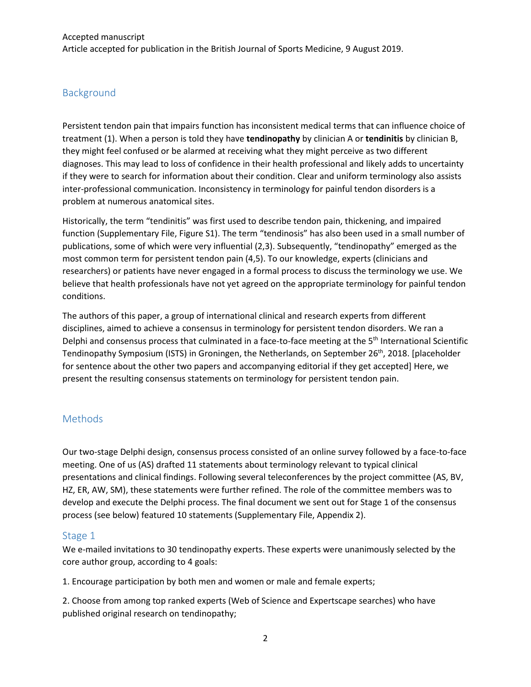# Background

Persistent tendon pain that impairs function has inconsistent medical terms that can influence choice of treatment (1). When a person is told they have **tendinopathy** by clinician A or **tendinitis** by clinician B, they might feel confused or be alarmed at receiving what they might perceive as two different diagnoses. This may lead to loss of confidence in their health professional and likely adds to uncertainty if they were to search for information about their condition. Clear and uniform terminology also assists inter-professional communication. Inconsistency in terminology for painful tendon disorders is a problem at numerous anatomical sites.

Historically, the term "tendinitis" was first used to describe tendon pain, thickening, and impaired function (Supplementary File, Figure S1). The term "tendinosis" has also been used in a small number of publications, some of which were very influential (2,3). Subsequently, "tendinopathy" emerged as the most common term for persistent tendon pain (4,5). To our knowledge, experts (clinicians and researchers) or patients have never engaged in a formal process to discuss the terminology we use. We believe that health professionals have not yet agreed on the appropriate terminology for painful tendon conditions.

The authors of this paper, a group of international clinical and research experts from different disciplines, aimed to achieve a consensus in terminology for persistent tendon disorders. We ran a Delphi and consensus process that culminated in a face-to-face meeting at the 5<sup>th</sup> International Scientific Tendinopathy Symposium (ISTS) in Groningen, the Netherlands, on September 26<sup>th</sup>, 2018. [placeholder for sentence about the other two papers and accompanying editorial if they get accepted] Here, we present the resulting consensus statements on terminology for persistent tendon pain.

## Methods

Our two-stage Delphi design, consensus process consisted of an online survey followed by a face-to-face meeting. One of us (AS) drafted 11 statements about terminology relevant to typical clinical presentations and clinical findings. Following several teleconferences by the project committee (AS, BV, HZ, ER, AW, SM), these statements were further refined. The role of the committee members was to develop and execute the Delphi process. The final document we sent out for Stage 1 of the consensus process (see below) featured 10 statements (Supplementary File, Appendix 2).

#### Stage 1

We e-mailed invitations to 30 tendinopathy experts. These experts were unanimously selected by the core author group, according to 4 goals:

1. Encourage participation by both men and women or male and female experts;

2. Choose from among top ranked experts (Web of Science and Expertscape searches) who have published original research on tendinopathy;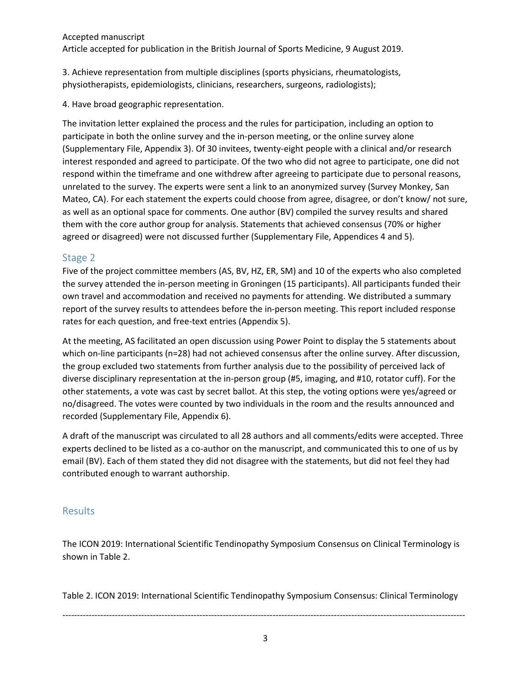Accepted manuscript Article accepted for publication in the British Journal of Sports Medicine, 9 August 2019.

3. Achieve representation from multiple disciplines (sports physicians, rheumatologists, physiotherapists, epidemiologists, clinicians, researchers, surgeons, radiologists);

4. Have broad geographic representation.

The invitation letter explained the process and the rules for participation, including an option to participate in both the online survey and the in-person meeting, or the online survey alone (Supplementary File, Appendix 3). Of 30 invitees, twenty-eight people with a clinical and/or research interest responded and agreed to participate. Of the two who did not agree to participate, one did not respond within the timeframe and one withdrew after agreeing to participate due to personal reasons, unrelated to the survey. The experts were sent a link to an anonymized survey (Survey Monkey, San Mateo, CA). For each statement the experts could choose from agree, disagree, or don't know/ not sure, as well as an optional space for comments. One author (BV) compiled the survey results and shared them with the core author group for analysis. Statements that achieved consensus (70% or higher agreed or disagreed) were not discussed further (Supplementary File, Appendices 4 and 5).

### Stage 2

Five of the project committee members (AS, BV, HZ, ER, SM) and 10 of the experts who also completed the survey attended the in-person meeting in Groningen (15 participants). All participants funded their own travel and accommodation and received no payments for attending. We distributed a summary report of the survey results to attendees before the in-person meeting. This report included response rates for each question, and free-text entries (Appendix 5).

At the meeting, AS facilitated an open discussion using Power Point to display the 5 statements about which on-line participants (n=28) had not achieved consensus after the online survey. After discussion, the group excluded two statements from further analysis due to the possibility of perceived lack of diverse disciplinary representation at the in-person group (#5, imaging, and #10, rotator cuff). For the other statements, a vote was cast by secret ballot. At this step, the voting options were yes/agreed or no/disagreed. The votes were counted by two individuals in the room and the results announced and recorded (Supplementary File, Appendix 6).

A draft of the manuscript was circulated to all 28 authors and all comments/edits were accepted. Three experts declined to be listed as a co-author on the manuscript, and communicated this to one of us by email (BV). Each of them stated they did not disagree with the statements, but did not feel they had contributed enough to warrant authorship.

## **Results**

The ICON 2019: International Scientific Tendinopathy Symposium Consensus on Clinical Terminology is shown in Table 2.

Table 2. ICON 2019: International Scientific Tendinopathy Symposium Consensus: Clinical Terminology

------------------------------------------------------------------------------------------------------------------------------------------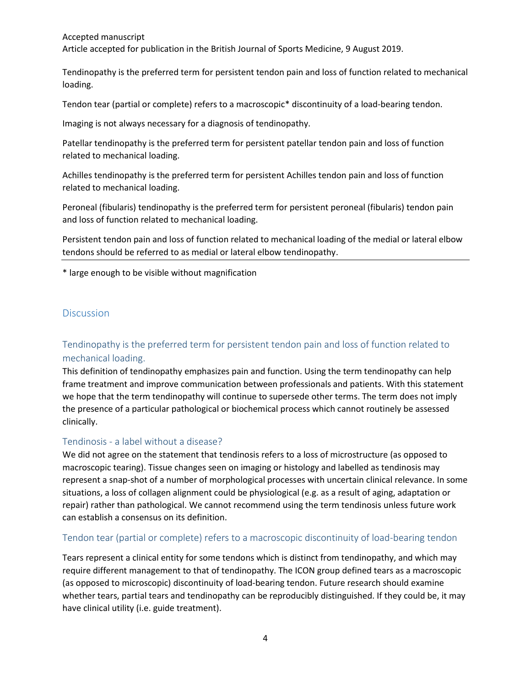Accepted manuscript Article accepted for publication in the British Journal of Sports Medicine, 9 August 2019.

Tendinopathy is the preferred term for persistent tendon pain and loss of function related to mechanical loading.

Tendon tear (partial or complete) refers to a macroscopic\* discontinuity of a load-bearing tendon.

Imaging is not always necessary for a diagnosis of tendinopathy.

Patellar tendinopathy is the preferred term for persistent patellar tendon pain and loss of function related to mechanical loading.

Achilles tendinopathy is the preferred term for persistent Achilles tendon pain and loss of function related to mechanical loading.

Peroneal (fibularis) tendinopathy is the preferred term for persistent peroneal (fibularis) tendon pain and loss of function related to mechanical loading.

Persistent tendon pain and loss of function related to mechanical loading of the medial or lateral elbow tendons should be referred to as medial or lateral elbow tendinopathy.

\* large enough to be visible without magnification

## **Discussion**

# Tendinopathy is the preferred term for persistent tendon pain and loss of function related to mechanical loading.

This definition of tendinopathy emphasizes pain and function. Using the term tendinopathy can help frame treatment and improve communication between professionals and patients. With this statement we hope that the term tendinopathy will continue to supersede other terms. The term does not imply the presence of a particular pathological or biochemical process which cannot routinely be assessed clinically.

#### Tendinosis - a label without a disease?

We did not agree on the statement that tendinosis refers to a loss of microstructure (as opposed to macroscopic tearing). Tissue changes seen on imaging or histology and labelled as tendinosis may represent a snap-shot of a number of morphological processes with uncertain clinical relevance. In some situations, a loss of collagen alignment could be physiological (e.g. as a result of aging, adaptation or repair) rather than pathological. We cannot recommend using the term tendinosis unless future work can establish a consensus on its definition.

#### Tendon tear (partial or complete) refers to a macroscopic discontinuity of load-bearing tendon

Tears represent a clinical entity for some tendons which is distinct from tendinopathy, and which may require different management to that of tendinopathy. The ICON group defined tears as a macroscopic (as opposed to microscopic) discontinuity of load-bearing tendon. Future research should examine whether tears, partial tears and tendinopathy can be reproducibly distinguished. If they could be, it may have clinical utility (i.e. guide treatment).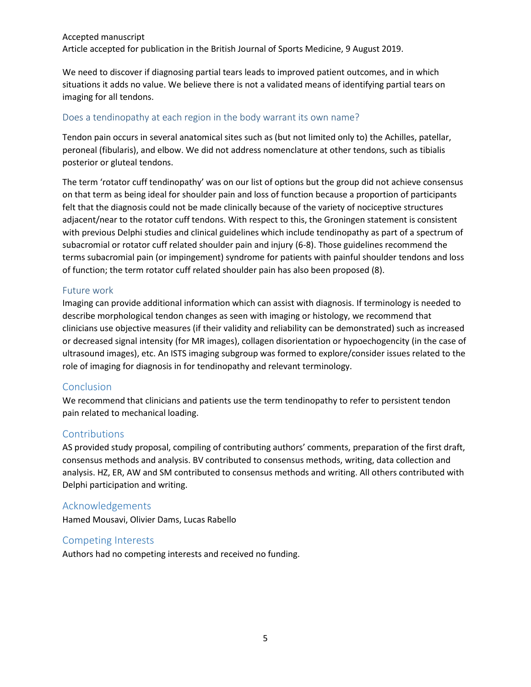We need to discover if diagnosing partial tears leads to improved patient outcomes, and in which situations it adds no value. We believe there is not a validated means of identifying partial tears on imaging for all tendons.

#### Does a tendinopathy at each region in the body warrant its own name?

Tendon pain occurs in several anatomical sites such as (but not limited only to) the Achilles, patellar, peroneal (fibularis), and elbow. We did not address nomenclature at other tendons, such as tibialis posterior or gluteal tendons.

The term 'rotator cuff tendinopathy' was on our list of options but the group did not achieve consensus on that term as being ideal for shoulder pain and loss of function because a proportion of participants felt that the diagnosis could not be made clinically because of the variety of nociceptive structures adjacent/near to the rotator cuff tendons. With respect to this, the Groningen statement is consistent with previous Delphi studies and clinical guidelines which include tendinopathy as part of a spectrum of subacromial or rotator cuff related shoulder pain and injury (6-8). Those guidelines recommend the terms subacromial pain (or impingement) syndrome for patients with painful shoulder tendons and loss of function; the term rotator cuff related shoulder pain has also been proposed (8).

#### Future work

Imaging can provide additional information which can assist with diagnosis. If terminology is needed to describe morphological tendon changes as seen with imaging or histology, we recommend that clinicians use objective measures (if their validity and reliability can be demonstrated) such as increased or decreased signal intensity (for MR images), collagen disorientation or hypoechogencity (in the case of ultrasound images), etc. An ISTS imaging subgroup was formed to explore/consider issues related to the role of imaging for diagnosis in for tendinopathy and relevant terminology.

## **Conclusion**

We recommend that clinicians and patients use the term tendinopathy to refer to persistent tendon pain related to mechanical loading.

## **Contributions**

AS provided study proposal, compiling of contributing authors' comments, preparation of the first draft, consensus methods and analysis. BV contributed to consensus methods, writing, data collection and analysis. HZ, ER, AW and SM contributed to consensus methods and writing. All others contributed with Delphi participation and writing.

## Acknowledgements

Hamed Mousavi, Olivier Dams, Lucas Rabello

#### Competing Interests

Authors had no competing interests and received no funding.